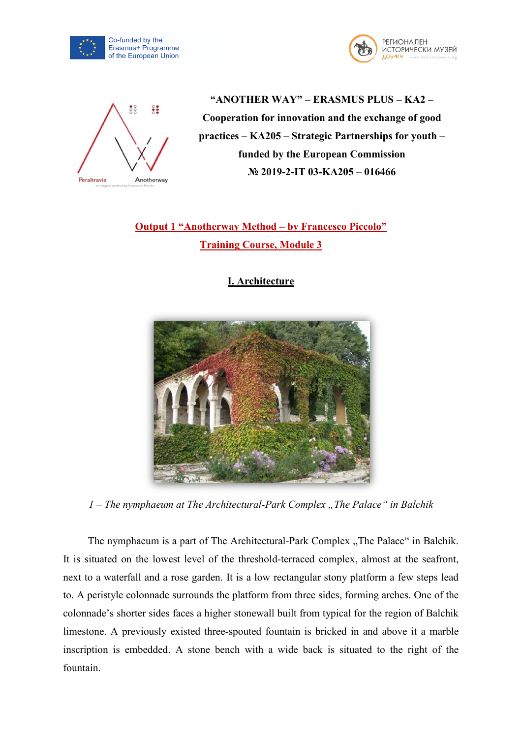





**"ANOTHER WAY" – ERASMUS PLUS – KA2 – Cooperation for innovation and the exchange of good practices – KA205 – Strategic Partnerships for youth – funded by the European Commission № 2019-2-IT 03-KA205 – 016466**

**Output 1 "Anotherway Method – by Francesco Piccolo" Training Course, Module 3**

**I. Architecture**



*1* – *The nymphaeum at The Architectural-Park Complex , The Palace* " *in Balchik* 

The nymphaeum is a part of The Architectural-Park Complex "The Palace" in Balchik. It is situated on the lowest level of the threshold-terraced complex, almost at the seafront, next to a waterfall and a rose garden. It is a low rectangular stony platform a few steps lead to. A peristyle colonnade surrounds the platform from three sides, forming arches. One of the colonnade's shorter sides faces a higher stonewall built from typical for the region of Balchik limestone. A previously existed three-spouted fountain is bricked in and above it a marble inscription is embedded. A stone bench with a wide back is situated to the right of the fountain.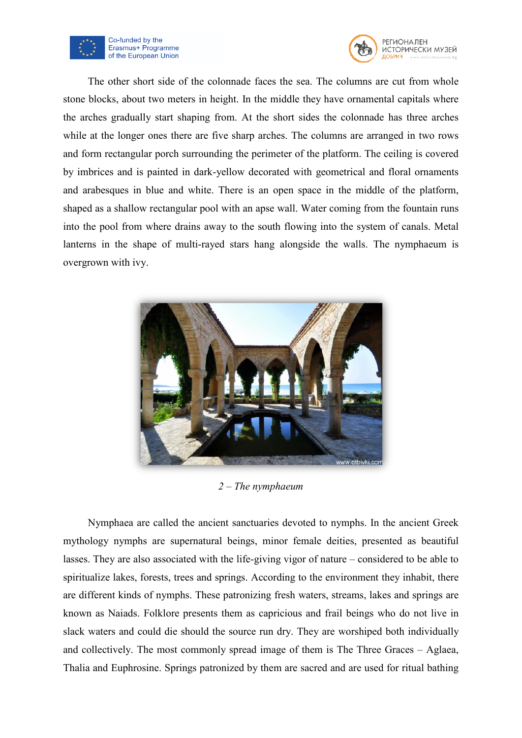



The other short side of the colonnade faces the sea. The columns are cut from whole stone blocks, about two meters in height. In the middle they have ornamental capitals where the arches gradually start shaping from. At the short sides the colonnade has three arches while at the longer ones there are five sharp arches. The columns are arranged in two rows and form rectangular porch surrounding the perimeter of the platform. The ceiling is covered by imbrices and is painted in dark-yellow decorated with geometrical and floral ornaments and arabesques in blue and white. There is an open space in the middle of the platform, shaped as a shallow rectangular pool with an apse wall. Water coming from the fountain runs into the pool from where drains away to the south flowing into the system of canals. Metal lanterns in the shape of multi-rayed stars hang alongside the walls. The nymphaeum is overgrown with ivy.



*2 – The nymphaeum*

Nymphaea are called the ancient sanctuaries devoted to nymphs. In the ancient Greek mythology nymphs are supernatural beings, minor female deities, presented as beautiful lasses. They are also associated with the life-giving vigor of nature – considered to be able to spiritualize lakes, forests, trees and springs. According to the environment they inhabit, there are different kinds of nymphs. These patronizing fresh waters, streams, lakes and springs are known as Naiads. Folklore presents them as capricious and frail beings who do not live in slack waters and could die should the source run dry. They are worshiped both individually and collectively. The most commonly spread image of them is The Three Graces – Aglaea, Thalia and Euphrosine. Springs patronized by them are sacred and are used for ritual bathing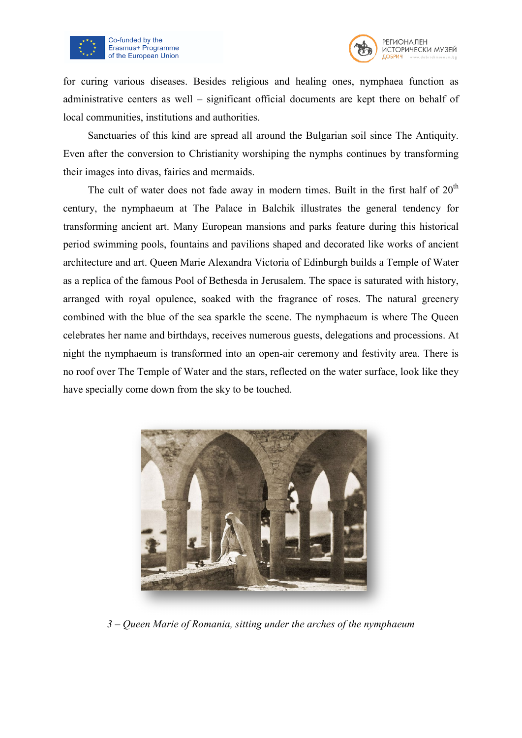



for curing various diseases. Besides religious and healing ones, nymphaea function as administrative centers as well – significant official documents are kept there on behalf of local communities, institutions and authorities.

Sanctuaries of this kind are spread all around the Bulgarian soil since The Antiquity. Even after the conversion to Christianity worshiping the nymphs continues by transforming their images into divas, fairies and mermaids.

The cult of water does not fade away in modern times. Built in the first half of  $20<sup>th</sup>$ century, the nymphaeum at The Palace in Balchik illustrates the general tendency for transforming ancient art. Many European mansions and parks feature during this historical period swimming pools, fountains and pavilions shaped and decorated like works of ancient architecture and art. Queen Marie Alexandra Victoria of Edinburgh builds a Temple of Water as a replica of the famous Pool of Bethesda in Jerusalem. The space is saturated with history, arranged with royal opulence, soaked with the fragrance of roses. The natural greenery combined with the blue of the sea sparkle the scene. The nymphaeum is where The Queen celebrates her name and birthdays, receives numerous guests, delegations and processions. At night the nymphaeum is transformed into an open-air ceremony and festivity area. There is no roof over The Temple of Water and the stars, reflected on the water surface, look like they have specially come down from the sky to be touched.



*3 – Queen Marie of Romania, sitting under the arches of the nymphaeum*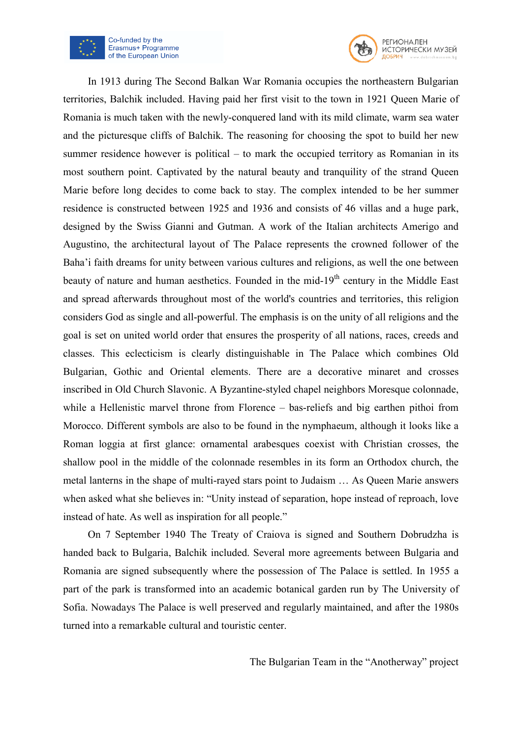



In 1913 during The Second Balkan War Romania occupies the northeastern Bulgarian territories, Balchik included. Having paid her first visit to the town in 1921 Queen Marie of Romania is much taken with the newly-conquered land with its mild climate, warm sea water and the picturesque cliffs of Balchik. The reasoning for choosing the spot to build her new summer residence however is political – to mark the occupied territory as Romanian in its most southern point. Captivated by the natural beauty and tranquility of the strand Queen Marie before long decides to come back to stay. The complex intended to be her summer residence is constructed between 1925 and 1936 and consists of 46 villas and a huge park, designed by the Swiss Gianni and Gutman. A work of the Italian architects Amerigo and Augustino, the architectural layout of The Palace represents the crowned follower of the Baha'i faith dreams for unity between various cultures and religions, as well the one between beauty of nature and human aesthetics. Founded in the mid-19<sup>th</sup> century in the Middle East and spread afterwards throughout most of the world's countries and territories, this religion considers God as single and all-powerful. The emphasis is on the unity of all religions and the goal is set on united world order that ensures the prosperity of all nations, races, creeds and classes. This eclecticism is clearly distinguishable in The Palace which combines Old Bulgarian, Gothic and Oriental elements. There are a decorative minaret and crosses inscribed in Old Church Slavonic. A Byzantine-styled chapel neighbors Moresque colonnade, while a Hellenistic marvel throne from Florence – bas-reliefs and big earthen pithoi from Morocco. Different symbols are also to be found in the nymphaeum, although it looks like a Roman loggia at first glance: ornamental arabesques coexist with Christian crosses, the shallow pool in the middle of the colonnade resembles in its form an Orthodox church, the metal lanterns in the shape of multi-rayed stars point to Judaism … As Queen Marie answers when asked what she believes in: "Unity instead of separation, hope instead of reproach, love instead of hate. As well as inspiration for all people."

On 7 September 1940 The Treaty of Craiova is signed and Southern Dobrudzha is handed back to Bulgaria, Balchik included. Several more agreements between Bulgaria and Romania are signed subsequently where the possession of The Palace is settled. In 1955 a part of the park is transformed into an academic botanical garden run by The University of Sofia. Nowadays The Palace is well preserved and regularly maintained, and after the 1980s turned into a remarkable cultural and touristic center.

The Bulgarian Team in the "Anotherway" project